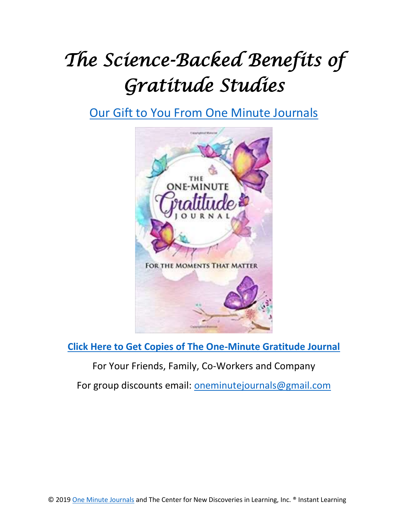## *The Science-Backed Benefits of Gratitude Studies*

[Our Gift to You From](https://www.amazon.com/One-Minute-Journals/e/B07LBZVLQS) One Minute Journals



**Click Here to Get Copies [of The One-Minute Gratitude Journal](https://amzn.to/2UUFJh7)**

For Your Friends, Family, Co-Workers and Company

For group discounts email: [oneminutejournals@gmail.com](mailto:oneminutejournals@gmail.com)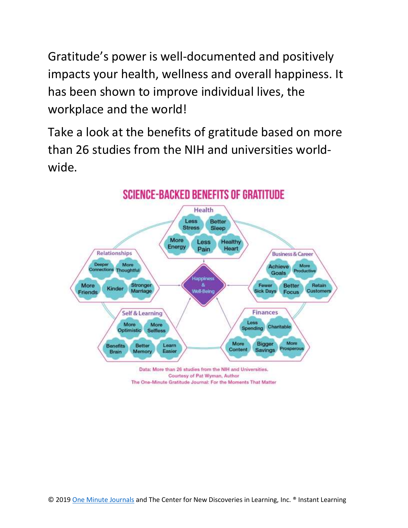Gratitude's power is well-documented and positively impacts your health, wellness and overall happiness. It has been shown to improve individual lives, the workplace and the world!

Take a look at the benefits of gratitude based on more than 26 studies from the NIH and universities worldwide.



The One-Minute Gratitude Journal: For the Moments That Matter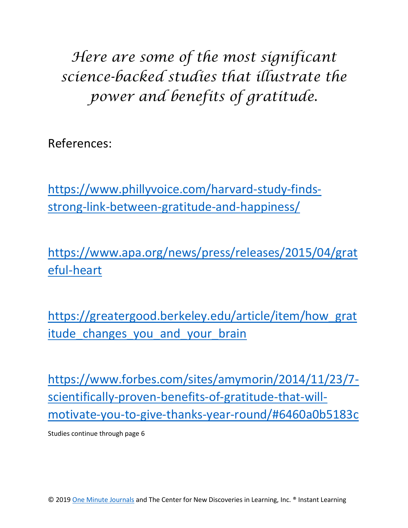*Here are some of the most significant science-backed studies that illustrate the power and benefits of gratitude.*

References:

[https://www.phillyvoice.com/harvard-study-finds](https://www.phillyvoice.com/harvard-study-finds-strong-link-between-gratitude-and-happiness/)[strong-link-between-gratitude-and-happiness/](https://www.phillyvoice.com/harvard-study-finds-strong-link-between-gratitude-and-happiness/)

[https://www.apa.org/news/press/releases/2015/04/grat](https://www.apa.org/news/press/releases/2015/04/grateful-heart) [eful-heart](https://www.apa.org/news/press/releases/2015/04/grateful-heart)

[https://greatergood.berkeley.edu/article/item/how\\_grat](https://greatergood.berkeley.edu/article/item/how_gratitude_changes_you_and_your_brain) itude changes you and your brain

[https://www.forbes.com/sites/amymorin/2014/11/23/7](https://www.forbes.com/sites/amymorin/2014/11/23/7-scientifically-proven-benefits-of-gratitude-that-will-motivate-you-to-give-thanks-year-round/#6460a0b5183c) [scientifically-proven-benefits-of-gratitude-that-will](https://www.forbes.com/sites/amymorin/2014/11/23/7-scientifically-proven-benefits-of-gratitude-that-will-motivate-you-to-give-thanks-year-round/#6460a0b5183c)[motivate-you-to-give-thanks-year-round/#6460a0b5183c](https://www.forbes.com/sites/amymorin/2014/11/23/7-scientifically-proven-benefits-of-gratitude-that-will-motivate-you-to-give-thanks-year-round/#6460a0b5183c)

Studies continue through page 6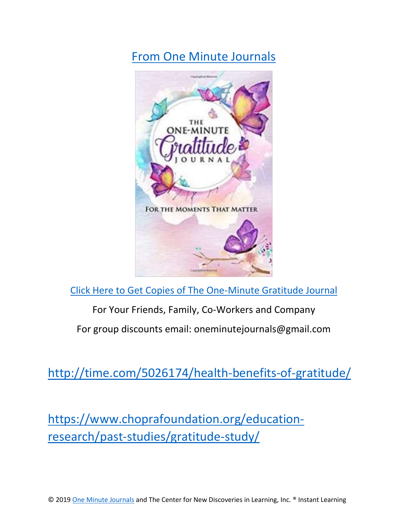[From One Minute Journals](https://www.amazon.com/One-Minute-Journals/e/B07LBZVLQS)



[Click Here to Get Copies of The One-Minute Gratitude Journal](https://amzn.to/2UUFJh7)

For Your Friends, Family, Co-Workers and Company

For group discounts email: oneminutejournals@gmail.com

<http://time.com/5026174/health-benefits-of-gratitude/>

[https://www.choprafoundation.org/education](https://www.choprafoundation.org/education-research/past-studies/gratitude-study/)[research/past-studies/gratitude-study/](https://www.choprafoundation.org/education-research/past-studies/gratitude-study/)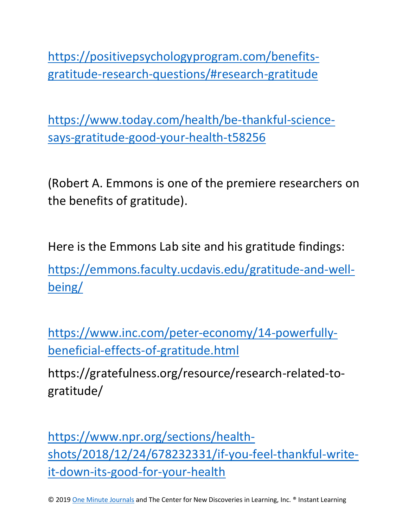[https://positivepsychologyprogram.com/benefits](https://positivepsychologyprogram.com/benefits-gratitude-research-questions/#research-gratitude)[gratitude-research-questions/#research-gratitude](https://positivepsychologyprogram.com/benefits-gratitude-research-questions/#research-gratitude)

[https://www.today.com/health/be-thankful-science](https://www.today.com/health/be-thankful-science-says-gratitude-good-your-health-t58256)[says-gratitude-good-your-health-t58256](https://www.today.com/health/be-thankful-science-says-gratitude-good-your-health-t58256)

(Robert A. Emmons is one of the premiere researchers on the benefits of gratitude).

Here is the Emmons Lab site and his gratitude findings: [https://emmons.faculty.ucdavis.edu/gratitude-and-well-](https://emmons.faculty.ucdavis.edu/gratitude-and-well-being/)

[being/](https://emmons.faculty.ucdavis.edu/gratitude-and-well-being/)

[https://www.inc.com/peter-economy/14-powerfully](https://www.inc.com/peter-economy/14-powerfully-beneficial-effects-of-gratitude.html)[beneficial-effects-of-gratitude.html](https://www.inc.com/peter-economy/14-powerfully-beneficial-effects-of-gratitude.html)

https://gratefulness.org/resource/research-related-togratitude/

[https://www.npr.org/sections/health](https://www.npr.org/sections/health-shots/2018/12/24/678232331/if-you-feel-thankful-write-it-down-its-good-for-your-health)[shots/2018/12/24/678232331/if-you-feel-thankful-write](https://www.npr.org/sections/health-shots/2018/12/24/678232331/if-you-feel-thankful-write-it-down-its-good-for-your-health)[it-down-its-good-for-your-health](https://www.npr.org/sections/health-shots/2018/12/24/678232331/if-you-feel-thankful-write-it-down-its-good-for-your-health)